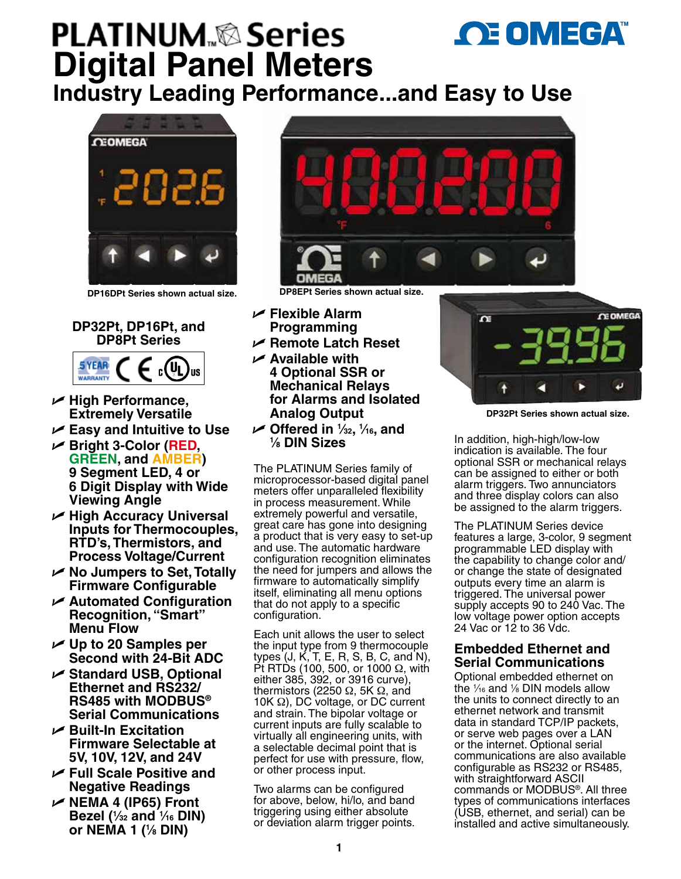# **OE OMEGA PLATINUM**<sub>®</sub>&Series **Digital Panel Meters**

**Industry Leading Performance...and Easy to Use**



# **DP32Pt, DP16Pt, and DP8Pt Series**



- U **High Performance, Extremely Versatile**
- U **Easy and Intuitive to Use**
- U **Bright 3-Color (RED, GREEN, and AMBER) 9 Segment LED, 4 or 6 Digit Display with Wide Viewing Angle**
- U **High Accuracy Universal Inputs for Thermocouples, RTD's, Thermistors, and Process Voltage/Current**
- U **No Jumpers to Set, Totally Firmware Configurable**
- U **Automated Configuration Recognition, "Smart" Menu Flow**
- U **Up to 20 Samples per Second with 24-Bit ADC**
- U **Standard USB, Optional Ethernet and RS232/ RS485 with MODBUS® Serial Communications**
- U **Built-In Excitation Firmware Selectable at 5V, 10V, 12V, and 24V**
- U **Full Scale Positive and Negative Readings**
- U **NEMA 4 (IP65) Front Bezel (1 ⁄32 and 1 ⁄16 DIN) or NEMA 1 (1 ⁄8 DIN)**



**DP16DPt Series shown actual size. DP8EPt Series shown actual size.**

- U **Flexible Alarm Programming**
- U **Remote Latch Reset**
- U **Available with 4 Optional SSR or Mechanical Relays for Alarms and Isolated Analog Output**
- U **Offered in 1 ⁄32, 1 ⁄16, and 1 ⁄8 DIN Sizes**

The PLATINUM Series family of microprocessor-based digital panel meters offer unparalleled flexibility in process measurement. While extremely powerful and versatile, great care has gone into designing a product that is very easy to set-up and use. The automatic hardware configuration recognition eliminates the need for jumpers and allows the firmware to automatically simplify itself, eliminating all menu options that do not apply to a specific configuration.

Each unit allows the user to select the input type from 9 thermocouple types (J, K, T, E, R, S, B, C, and N), Pt RTDs (100, 500, or 1000  $Ω$ , with either 385, 392, or 3916 curve), thermistors (2250 Ω, 5K  $Ω$ , and 10K Ω), DC voltage, or DC current and strain. The bipolar voltage or current inputs are fully scalable to virtually all engineering units, with a selectable decimal point that is perfect for use with pressure, flow, or other process input.

Two alarms can be configured for above, below, hi/lo, and band triggering using either absolute or deviation alarm trigger points.



**DP32Pt Series shown actual size.**

In addition, high-high/low-low indication is available. The four optional SSR or mechanical relays can be assigned to either or both alarm triggers. Two annunciators and three display colors can also be assigned to the alarm triggers.

The PLATINUM Series device features a large, 3-color, 9 segment programmable LED display with the capability to change color and/ or change the state of designated outputs every time an alarm is triggered. The universal power supply accepts 90 to 240 Vac. The low voltage power option accepts 24 Vac or 12 to 36 Vdc.

# **Embedded Ethernet and Serial Communications**

Optional embedded ethernet on the  $\frac{1}{16}$  and  $\frac{1}{8}$  DIN models allow the units to connect directly to an ethernet network and transmit data in standard TCP/IP packets, or serve web pages over a LAN or the internet. Optional serial communications are also available configurable as RS232 or RS485, with straightforward ASCII commands or MODBUS®. All three types of communications interfaces (USB, ethernet, and serial) can be installed and active simultaneously.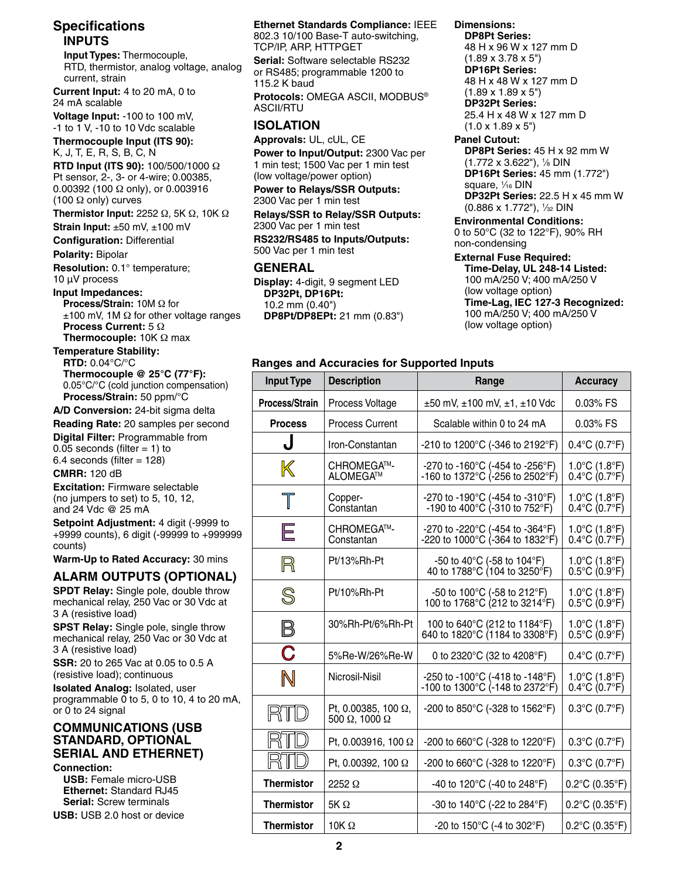# **Specifications INPUTS**

 **Input Types:** Thermocouple, RTD, thermistor, analog voltage, analog current, strain

**Current Input:** 4 to 20 mA, 0 to 24 mA scalable

**Voltage Input:** -100 to 100 mV, -1 to 1 V, -10 to 10 Vdc scalable

**Thermocouple Input (ITS 90):** K, J, T, E, R, S, B, C, N

**RTD Input (ITS 90):** 100/500/1000 Ω Pt sensor, 2-, 3- or 4-wire; 0.00385, 0.00392 (100 Ω only), or 0.003916 (100 Ω only) curves

**Thermistor Input:** 2252 Ω, 5K Ω, 10K Ω

**Strain Input:** ±50 mV, ±100 mV

**Configuration:** Differential

**Polarity:** Bipolar

**Resolution:** 0.1° temperature; 10 µV process

**Input Impedances:**

**Process/Strain:** 10M Ω for ±100 mV, 1M Ω for other voltage ranges **Process Current:** 5 Ω **Thermocouple:** 10K Ω max

**Temperature Stability:**

**RTD:** 0.04°C/°C **Thermocouple @ 25°C (77°F):** 0.05°C/°C (cold junction compensation) **Process/Strain:** 50 ppm/°C

**A/D Conversion:** 24-bit sigma delta

**Reading Rate:** 20 samples per second

**Digital Filter:** Programmable from 0.05 seconds (filter  $= 1$ ) to

 $6.4$  seconds (filter = 128) **CMRR:** 120 dB

**Excitation:** Firmware selectable (no jumpers to set) to 5, 10, 12, and 24 Vdc @ 25 mA

**Setpoint Adjustment:** 4 digit (-9999 to +9999 counts), 6 digit (-99999 to +999999 counts)

**Warm-Up to Rated Accuracy:** 30 mins

# **ALARM OUTPUTS (OPTIONAL)**

**SPDT Relay:** Single pole, double throw mechanical relay, 250 Vac or 30 Vdc at 3 A (resistive load)

**SPST Relay:** Single pole, single throw mechanical relay, 250 Vac or 30 Vdc at 3 A (resistive load)

**SSR:** 20 to 265 Vac at 0.05 to 0.5 A (resistive load); continuous

**Isolated Analog:** Isolated, user programmable 0 to 5, 0 to 10, 4 to 20 mA, or 0 to 24 signal

#### **COMMUNICATIONS (USB STANDARD, OPTIONAL SERIAL AND ETHERNET) Connection:**

**USB:** Female micro-USB **Ethernet:** Standard RJ45 **Serial:** Screw terminals **USB:** USB 2.0 host or device

## **Ethernet Standards Compliance:** IEEE

802.3 10/100 Base-T auto-switching, TCP/IP, ARP, HTTPGET

**Serial:** Software selectable RS232 or RS485; programmable 1200 to 115.2 K baud

**Protocols:** OMEGA ASCII, MODBUS® ASCII/RTU

### **ISOLATION**

**Approvals:** UL, cUL, CE

**Power to Input/Output:** 2300 Vac per 1 min test; 1500 Vac per 1 min test (low voltage/power option)

**Power to Relays/SSR Outputs:** 2300 Vac per 1 min test

**Relays/SSR to Relay/SSR Outputs:** 2300 Vac per 1 min test **RS232/RS485 to Inputs/Outputs:** 500 Vac per 1 min test

### **GENERAL**

**Display:** 4-digit, 9 segment LED **DP32Pt, DP16Pt:** 10.2 mm (0.40") **DP8Pt/DP8EPt:** 21 mm (0.83") **Dimensions: DP8Pt Series:**

48 H x 96 W x 127 mm D (1.89 x 3.78 x 5") **DP16Pt Series:** 48 H x 48 W x 127 mm D (1.89 x 1.89 x 5") **DP32Pt Series:** 25.4 H x 48 W x 127 mm D  $(1.0 \times 1.89 \times 5")$ 

#### **Panel Cutout:**

**DP8Pt Series:** 45 H x 92 mm W (1.772 x 3.622"), 1 ⁄8 DIN **DP16Pt Series:** 45 mm (1.772") square, 1 ⁄16 DIN **DP32Pt Series:** 22.5 H x 45 mm W (0.886 x 1.772"), 1 ⁄32 DIN

**Environmental Conditions:**

0 to 50°C (32 to 122°F), 90% RH non-condensing

#### **External Fuse Required:**

**Time-Delay, UL 248-14 Listed:** 100 mA/250 V; 400 mA/250 V (low voltage option) **Time-Lag, IEC 127-3 Recognized:** 100 mA/250 V; 400 mA/250 V (low voltage option)

#### **Ranges and Accuracies for Supported Inputs**

| <b>Input Type</b> | <b>Description</b>                                  | Range                                                                            | <b>Accuracy</b>                                                          |
|-------------------|-----------------------------------------------------|----------------------------------------------------------------------------------|--------------------------------------------------------------------------|
| Process/Strain    | Process Voltage                                     | $\pm 50$ mV, $\pm 100$ mV, $\pm 1$ , $\pm 10$ Vdc                                | 0.03% FS                                                                 |
| <b>Process</b>    | Process Current                                     | Scalable within 0 to 24 mA                                                       | 0.03% FS                                                                 |
| J                 | Iron-Constantan                                     | -210 to 1200°C (-346 to 2192°F)                                                  | $0.4^{\circ}$ C (0.7 $^{\circ}$ F)                                       |
| $\mathbb{K}$      | CHROMEGA™-<br>ALOMEGA™                              | -270 to -160°C (-454 to -256°F)<br>-160 to 1372°C (-256 to 2502°F)               | $1.0^{\circ}$ C (1.8 $^{\circ}$ F)<br>$0.4^{\circ}$ C (0.7 $^{\circ}$ F) |
| $\top$            | Copper-<br>Constantan                               | -270 to -190°C (-454 to -310°F)<br>-190 to 400°C (-310 to 752°F)                 | $1.0^{\circ}$ C (1.8 $^{\circ}$ F)<br>$0.4^{\circ}$ C (0.7 $^{\circ}$ F) |
| E                 | CHROMEGA™-<br>Constantan                            | -270 to -220°C (-454 to -364°F)<br>-220 to 1000°C (-364 to 1832°F)               | $1.0^{\circ}$ C (1.8 $^{\circ}$ F)<br>$0.4^{\circ}C(0.7^{\circ}F)$       |
| R                 | Pt/13%Rh-Pt                                         | -50 to 40 $^{\circ}$ C (-58 to 104 $^{\circ}$ F)<br>40 to 1788°C (104 to 3250°F) | $1.0^{\circ}$ C (1.8 $^{\circ}$ F)<br>$0.5^{\circ}$ C (0.9 $^{\circ}$ F) |
| S                 | Pt/10%Rh-Pt                                         | -50 to 100°C (-58 to 212°F)<br>100 to 1768°C (212 to 3214°F)                     | $1.0^{\circ}$ C (1.8 $^{\circ}$ F)<br>$0.5^{\circ}$ C (0.9 $^{\circ}$ F) |
| $\boxtimes$       | 30%Rh-Pt/6%Rh-Pt                                    | 100 to 640°C (212 to 1184°F)<br>640 to 1820°C (1184 to 3308°F)                   | $1.0^{\circ}$ C (1.8 $^{\circ}$ F)<br>$0.5^{\circ}$ C (0.9 $^{\circ}$ F) |
| C                 | 5% Re-W/26% Re-W                                    | 0 to 2320°C (32 to 4208°F)                                                       | $0.4^{\circ}$ C (0.7 $^{\circ}$ F)                                       |
| $\mathbb N$       | Nicrosil-Nisil                                      | -250 to -100°C (-418 to -148°F)<br>-100 to 1300°C (-148 to 2372°F)               | 1.0°C (1.8°F)<br>0.4°C (0.7°F)                                           |
| RTD               | Pt, 0.00385, 100 Ω,<br>500 $\Omega$ , 1000 $\Omega$ | -200 to 850°C (-328 to 1562°F)                                                   | $0.3^{\circ}$ C (0.7 $^{\circ}$ F)                                       |
|                   | Pt, 0.003916, 100 Ω                                 | -200 to 660°C (-328 to 1220°F)                                                   | $0.3^{\circ}$ C (0.7 $^{\circ}$ F)                                       |
|                   | Pt, 0.00392, 100 Ω                                  | -200 to 660 $^{\circ}$ C (-328 to 1220 $^{\circ}$ F)                             | $0.3^{\circ}$ C (0.7 $^{\circ}$ F)                                       |
| <b>Thermistor</b> | 2252 $\Omega$                                       | -40 to 120°C (-40 to 248°F)                                                      | $0.2^{\circ}$ C (0.35 $^{\circ}$ F)                                      |
| <b>Thermistor</b> | $5K \Omega$                                         | -30 to 140°C (-22 to 284°F)                                                      | $0.2^{\circ}$ C (0.35 $^{\circ}$ F)                                      |
| <b>Thermistor</b> | 10K $\Omega$                                        | -20 to 150 $^{\circ}$ C (-4 to 302 $^{\circ}$ F)                                 | $0.2^{\circ}$ C (0.35 $^{\circ}$ F)                                      |